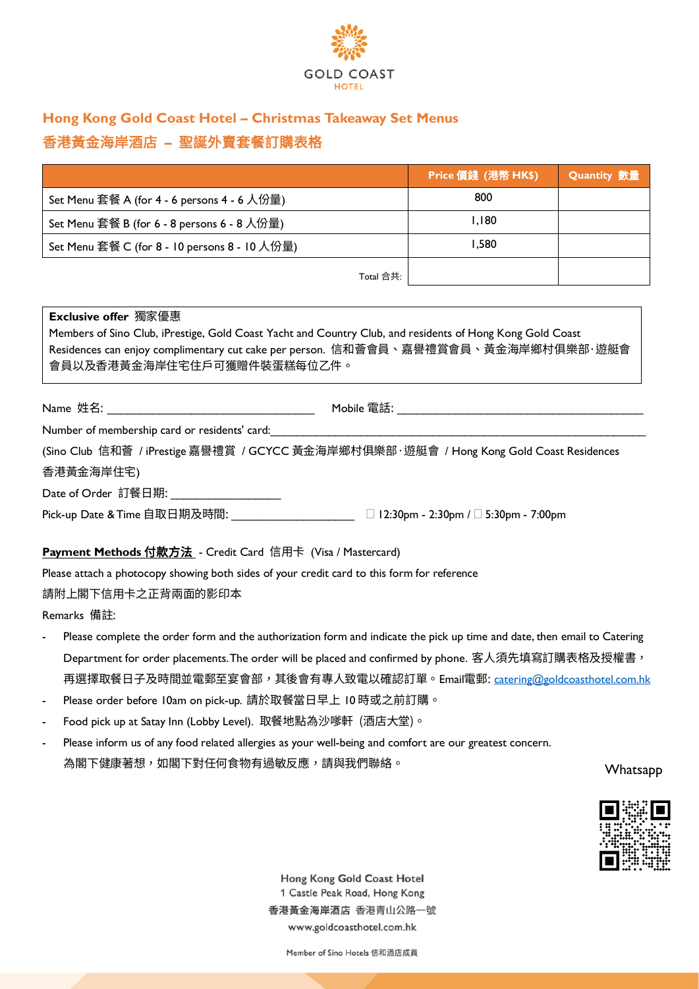

## **Hong Kong Gold Coast Hotel – Christmas Takeaway Set Menus**  香港黃金海岸酒店 **–** 聖誕外賣套餐訂購表格

|                                               | Price 價錢 (港幣 HK\$) | <b>Quantity</b> 數量 |
|-----------------------------------------------|--------------------|--------------------|
| Set Menu 套餐 A (for 4 - 6 persons 4 - 6 人份量)   | 800                |                    |
| Set Menu 套餐 B (for 6 - 8 persons 6 - 8 人份量)   | I, 180             |                    |
| Set Menu 套餐 C (for 8 - 10 persons 8 - 10 人份量) | 1,580              |                    |
| Total 合共:                                     |                    |                    |

#### **Exclusive offer** 獨家優惠

| Members of Sino Club, iPrestige, Gold Coast Yacht and Country Club, and residents of Hong Kong Gold Coast |
|-----------------------------------------------------------------------------------------------------------|
| Residences can enjoy complimentary cut cake per person. 信和薈會員、嘉譽禮賞會員、黃金海岸鄉村俱樂部·遊艇會                        |
| 會員以及香港黃金海岸住宅住戶可獲贈件裝蛋糕每位乙件。                                                                                |

| Name 姓名:                                      | Mobile 電話:                                                                              |
|-----------------------------------------------|-----------------------------------------------------------------------------------------|
| Number of membership card or residents' card: |                                                                                         |
|                                               | (Sino Club 信和薈 / iPrestige 嘉譽禮賞 / GCYCC 黃金海岸鄉村俱樂部·遊艇會 / Hong Kong Gold Coast Residences |

香港黃金海岸住宅)

Date of Order 訂餐日期:

Pick-up Date & Time 自取日期及時間: \_\_\_\_\_\_\_\_\_\_\_\_\_\_\_\_\_\_\_\_\_\_\_\_\_\_ □ 12:30pm - 2:30pm / □ 5:30pm - 7:00pm

#### **Payment Methods** 付款方法 - Credit Card 信用卡 (Visa / Mastercard)

Please attach a photocopy showing both sides of your credit card to this form for reference

請附上閣下信用卡之正背兩面的影印本

Remarks 備註:

- Please complete the order form and the authorization form and indicate the pick up time and date, then email to Catering Department for order placements. The order will be placed and confirmed by phone. 客人須先填寫訂購表格及授權書, 再選擇取餐日子及時間並電郵至宴會部,其後會有專人致電以確認訂單。Email電郵: [catering@goldcoasthotel.com.hk](file://172.19.49.65/Marketing%20Communication/C&C/2020/Party%20takeaway%20menus/Collaterals/Order%20form/catering@goldcoasthotel.com.hk)
- Please order before 10am on pick-up. 請於取餐當日早上 10 時或之前訂購。
- Food pick up at Satay Inn (Lobby Level). 取餐地點為沙嗲軒 (酒店大堂)。
- Please inform us of any food related allergies as your well-being and comfort are our greatest concern. 為閣下健康著想,如閣下對任何食物有過敏反應,請與我們聯絡。

Whatsapp



Hong Kong Gold Coast Hotel 1 Castle Peak Road, Hong Kong 香港黃金海岸酒店 香港青山公路一號 www.goldcoasthotel.com.hk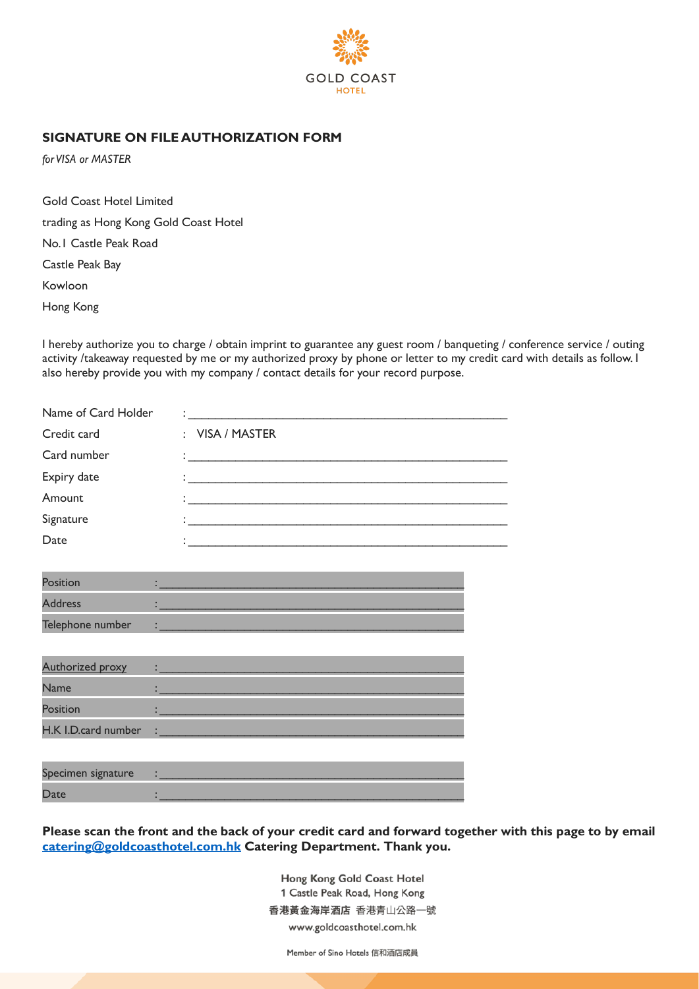

### **SIGNATURE ON FILE AUTHORIZATION FORM**

*for VISA or MASTER*

Gold Coast Hotel Limited

trading as Hong Kong Gold Coast Hotel

No.1 Castle Peak Road

Castle Peak Bay

Kowloon

Hong Kong

I hereby authorize you to charge / obtain imprint to guarantee any guest room / banqueting / conference service / outing activity /takeaway requested by me or my authorized proxy by phone or letter to my credit card with details as follow. I also hereby provide you with my company / contact details for your record purpose.

| Name of Card Holder |                                                                                                                       |
|---------------------|-----------------------------------------------------------------------------------------------------------------------|
| Credit card         | : VISA / MASTER                                                                                                       |
| Card number         | <u> 1980 - Jan Barbara Barbara, maso a seria da seria de la provincia de la provincia de la provincia de la provi</u> |
| Expiry date         |                                                                                                                       |
| Amount              |                                                                                                                       |
| Signature           |                                                                                                                       |
| Date                |                                                                                                                       |

| Position         |  |
|------------------|--|
| <b>Address</b>   |  |
| Telephone number |  |

| <b>Authorized proxy</b> |   |
|-------------------------|---|
| <b>Name</b>             |   |
| <b>Position</b>         |   |
| H.K I.D.card number     | ٠ |

| Specimen signature |  |
|--------------------|--|
| Date               |  |

**Please scan the front and the back of your credit card and forward together with this page to by email [catering@goldcoasthotel.com.hk](mailto:catering@goldcoasthotel.com.hk) Catering Department. Thank you.**

> Hong Kong Gold Coast Hotel 1 Castle Peak Road, Hong Kong 香港黃金海岸酒店 香港青山公路一號 www.goldcoasthotel.com.hk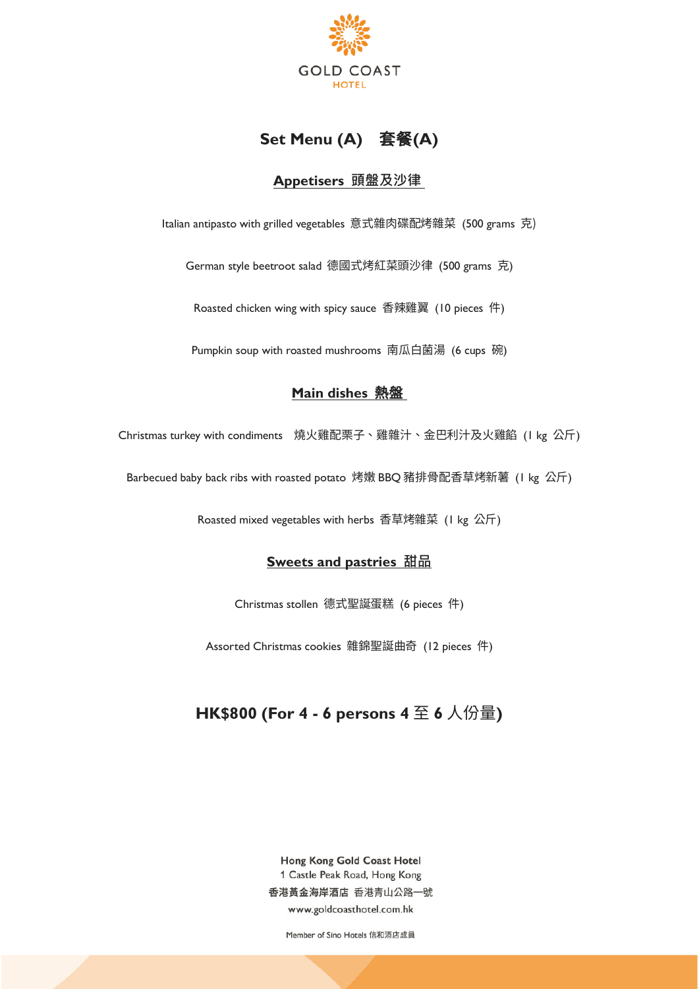

## **Set Menu (A) 套餐(A)**

### **Appetisers 頭盤及沙律**

Italian antipasto with grilled vegetables 意式雜肉碟配烤雜菜 (500 grams 克)

German style beetroot salad 德國式烤紅菜頭沙律 (500 grams 克)

Roasted chicken wing with spicy sauce 香辣雞翼 (10 pieces 件)

Pumpkin soup with roasted mushrooms 南瓜白菌湯 (6 cups 碗)

### **Main dishes** 熱盤

Christmas turkey with condiments 燒火雞配栗子、雞雜汁、金巴利汁及火雞餡 (1 kg 公斤)

Barbecued baby back ribs with roasted potato 烤嫩 BBQ 豬排骨配香草烤新薯 (1 kg 公斤)

Roasted mixed vegetables with herbs 香草烤雜菜 (1 kg 公斤)

#### **Sweets and pastries 甜品**

Christmas stollen 德式聖誕蛋糕 (6 pieces 件)

Assorted Christmas cookies 雜錦聖誕曲奇 (12 pieces 件)

# **HK\$800 (For 4 - 6 persons 4** 至 **6** 人份量**)**

Hong Kong Gold Coast Hotel 1 Castle Peak Road, Hong Kong 香港黃金海岸酒店 香港青山公路一號 www.goldcoasthotel.com.hk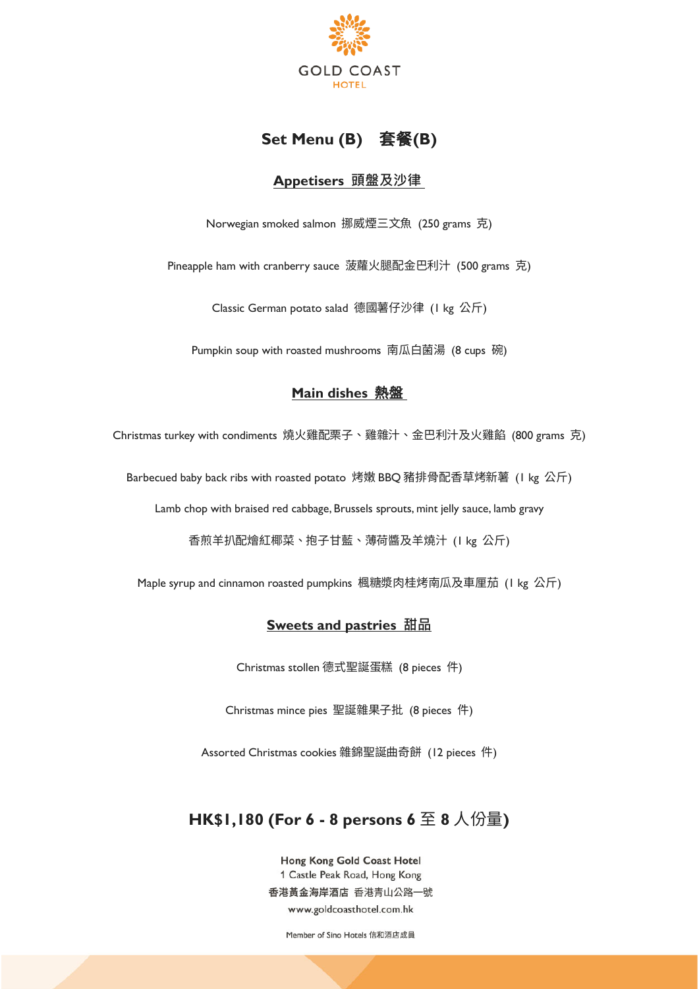

## **Set Menu (B)** 套餐**(B)**

### **Appetisers 頭盤及沙律**

Norwegian smoked salmon 挪威煙三文魚 (250 grams 克)

Pineapple ham with cranberry sauce 菠蘿火腿配金巴利汁 (500 grams 克)

Classic German potato salad 德國薯仔沙律 (1 kg 公斤)

Pumpkin soup with roasted mushrooms 南瓜白菌湯 (8 cups 碗)

### **Main dishes** 熱盤

Christmas turkey with condiments 燒火雞配栗子、雞雜汁、金巴利汁及火雞餡 (800 grams 克)

Barbecued baby back ribs with roasted potato 烤嫩 BBQ 豬排骨配香草烤新薯 (1 kg 公斤)

Lamb chop with braised red cabbage, Brussels sprouts, mint jelly sauce, lamb gravy

香煎羊扒配燴紅椰菜、抱子甘藍、薄荷醬及羊燒汁 (1 kg 公斤)

Maple syrup and cinnamon roasted pumpkins 楓糖漿肉桂烤南瓜及車厘茄 (1 kg 公斤)

#### **Sweets and pastries 甜品**

Christmas stollen 德式聖誕蛋糕 (8 pieces 件)

Christmas mince pies 聖誕雜果子批 (8 pieces 件)

Assorted Christmas cookies 雜錦聖誕曲奇餅 (12 pieces 件)

## **HK\$1,180 (For 6 - 8 persons 6** 至 **8** 人份量**)**

Hong Kong Gold Coast Hotel 1 Castle Peak Road, Hong Kong 香港黃金海岸酒店 香港青山公路一號 www.goldcoasthotel.com.hk